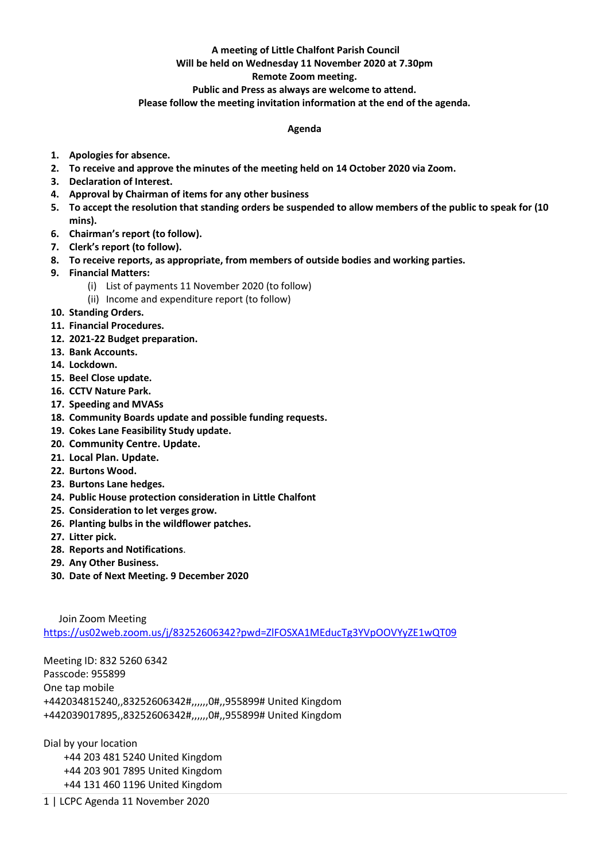## **A meeting of Little Chalfont Parish Council**

## **Will be held on Wednesday 11 November 2020 at 7.30pm**

## **Remote Zoom meeting.**

**Public and Press as always are welcome to attend.** 

**Please follow the meeting invitation information at the end of the agenda.**

## **Agenda**

- **1. Apologies for absence.**
- **2. To receive and approve the minutes of the meeting held on 14 October 2020 via Zoom.**
- **3. Declaration of Interest.**
- **4. Approval by Chairman of items for any other business**
- **5. To accept the resolution that standing orders be suspended to allow members of the public to speak for (10 mins).**
- **6. Chairman's report (to follow).**
- **7. Clerk's report (to follow).**
- **8. To receive reports, as appropriate, from members of outside bodies and working parties.**
- **9. Financial Matters:**
	- (i) List of payments 11 November 2020 (to follow)
	- (ii) Income and expenditure report (to follow)
- **10. Standing Orders.**
- **11. Financial Procedures.**
- **12. 2021-22 Budget preparation.**
- **13. Bank Accounts.**
- **14. Lockdown.**
- **15. Beel Close update.**
- **16. CCTV Nature Park.**
- **17. Speeding and MVASs**
- **18. Community Boards update and possible funding requests.**
- **19. Cokes Lane Feasibility Study update.**
- **20. Community Centre. Update.**
- **21. Local Plan. Update.**
- **22. Burtons Wood.**
- **23. Burtons Lane hedges.**
- **24. Public House protection consideration in Little Chalfont**
- **25. Consideration to let verges grow.**
- **26. Planting bulbs in the wildflower patches.**
- **27. Litter pick.**
- **28. Reports and Notifications**.
- **29. Any Other Business.**
- **30. Date of Next Meeting. 9 December 2020**

 Join Zoom Meeting <https://us02web.zoom.us/j/83252606342?pwd=ZlFOSXA1MEducTg3YVpOOVYyZE1wQT09>

Meeting ID: 832 5260 6342 Passcode: 955899 One tap mobile +442034815240,,83252606342#,,,,,,0#,,955899# United Kingdom +442039017895,,83252606342#,,,,,,0#,,955899# United Kingdom

Dial by your location +44 203 481 5240 United Kingdom +44 203 901 7895 United Kingdom +44 131 460 1196 United Kingdom